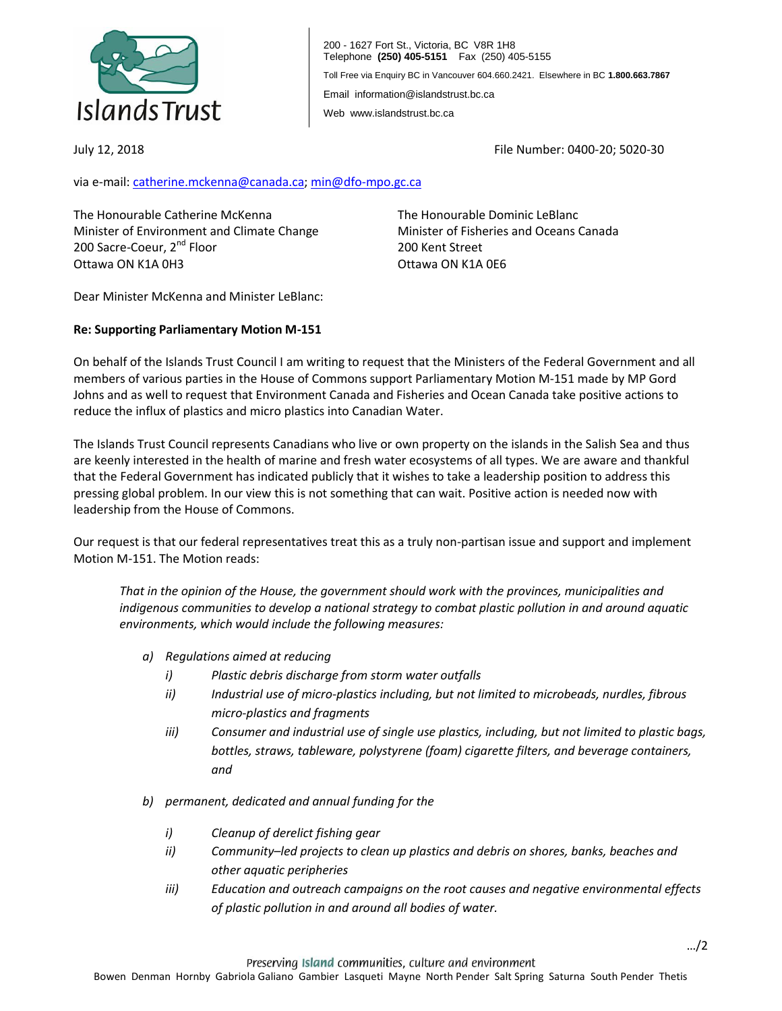

200 - 1627 Fort St., Victoria, BC V8R 1H8 Telephone **(250) 405-5151** Fax (250) 405-5155 Toll Free via Enquiry BC in Vancouver 604.660.2421. Elsewhere in BC **1.800.663.7867** Email information@islandstrust.bc.ca Web www.islandstrust.bc.ca

July 12, 2018

File Number: 0400-20; 5020-30

via e-mail: [catherine.mckenna@canada.ca;](mailto:catherine.mckenna@canada.ca) [min@dfo-mpo.gc.ca](mailto:min@dfo-mpo.gc.ca)

The Honourable Catherine McKenna Minister of Environment and Climate Change 200 Sacre-Coeur, 2<sup>nd</sup> Floor Ottawa ON K1A 0H3

The Honourable Dominic LeBlanc Minister of Fisheries and Oceans Canada 200 Kent Street Ottawa ON K1A 0E6

Dear Minister McKenna and Minister LeBlanc:

## **Re: Supporting Parliamentary Motion M-151**

On behalf of the Islands Trust Council I am writing to request that the Ministers of the Federal Government and all members of various parties in the House of Commons support Parliamentary Motion M-151 made by MP Gord Johns and as well to request that Environment Canada and Fisheries and Ocean Canada take positive actions to reduce the influx of plastics and micro plastics into Canadian Water.

The Islands Trust Council represents Canadians who live or own property on the islands in the Salish Sea and thus are keenly interested in the health of marine and fresh water ecosystems of all types. We are aware and thankful that the Federal Government has indicated publicly that it wishes to take a leadership position to address this pressing global problem. In our view this is not something that can wait. Positive action is needed now with leadership from the House of Commons.

Our request is that our federal representatives treat this as a truly non-partisan issue and support and implement Motion M-151. The Motion reads:

*That in the opinion of the House, the government should work with the provinces, municipalities and indigenous communities to develop a national strategy to combat plastic pollution in and around aquatic environments, which would include the following measures:* 

- *a) Regulations aimed at reducing* 
	- *i) Plastic debris discharge from storm water outfalls*
	- *ii) Industrial use of micro-plastics including, but not limited to microbeads, nurdles, fibrous micro-plastics and fragments*
	- *iii) Consumer and industrial use of single use plastics, including, but not limited to plastic bags, bottles, straws, tableware, polystyrene (foam) cigarette filters, and beverage containers, and*
- *b) permanent, dedicated and annual funding for the* 
	- *i) Cleanup of derelict fishing gear*
	- *ii) Community–led projects to clean up plastics and debris on shores, banks, beaches and other aquatic peripheries*
	- *iii) Education and outreach campaigns on the root causes and negative environmental effects of plastic pollution in and around all bodies of water.*

Preserving Island communities, culture and environment

Bowen Denman Hornby Gabriola Galiano Gambier Lasqueti Mayne North Pender Salt Spring Saturna South Pender Thetis